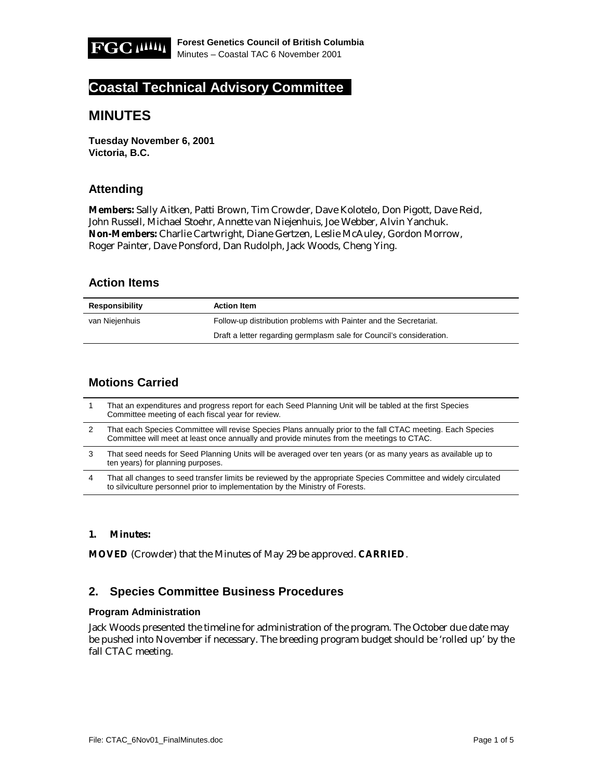

# **Coastal Technical Advisory Committee**

# **MINUTES**

**Tuesday November 6, 2001 Victoria, B.C.** 

# **Attending**

**Members:** Sally Aitken, Patti Brown, Tim Crowder, Dave Kolotelo, Don Pigott, Dave Reid, John Russell, Michael Stoehr, Annette van Niejenhuis, Joe Webber, Alvin Yanchuk. **Non-Members:** Charlie Cartwright, Diane Gertzen, Leslie McAuley, Gordon Morrow, Roger Painter, Dave Ponsford, Dan Rudolph, Jack Woods, Cheng Ying.

### **Action Items**

| Responsibility | <b>Action Item</b>                                                   |
|----------------|----------------------------------------------------------------------|
| van Nieienhuis | Follow-up distribution problems with Painter and the Secretariat.    |
|                | Draft a letter regarding germplasm sale for Council's consideration. |

# **Motions Carried**

|   | That an expenditures and progress report for each Seed Planning Unit will be tabled at the first Species<br>Committee meeting of each fiscal year for review.                                            |
|---|----------------------------------------------------------------------------------------------------------------------------------------------------------------------------------------------------------|
|   | That each Species Committee will revise Species Plans annually prior to the fall CTAC meeting. Each Species<br>Committee will meet at least once annually and provide minutes from the meetings to CTAC. |
| 3 | That seed needs for Seed Planning Units will be averaged over ten years (or as many years as available up to<br>ten years) for planning purposes.                                                        |
| 4 | That all changes to seed transfer limits be reviewed by the appropriate Species Committee and widely circulated<br>to silviculture personnel prior to implementation by the Ministry of Forests.         |

#### **1. Minutes:**

**MOVED** (Crowder) that the Minutes of May 29 be approved. **CARRIED**.

### **2. Species Committee Business Procedures**

#### **Program Administration**

Jack Woods presented the timeline for administration of the program. The October due date may be pushed into November if necessary. The breeding program budget should be 'rolled up' by the fall CTAC meeting.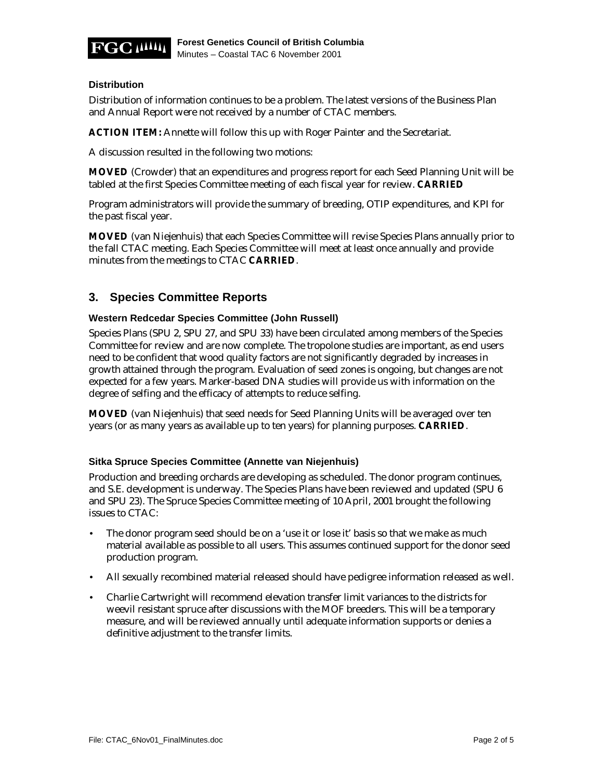

#### **Distribution**

Distribution of information continues to be a problem. The latest versions of the Business Plan and Annual Report were not received by a number of CTAC members.

**ACTION ITEM:** Annette will follow this up with Roger Painter and the Secretariat.

A discussion resulted in the following two motions:

**MOVED** (Crowder) that an expenditures and progress report for each Seed Planning Unit will be tabled at the first Species Committee meeting of each fiscal year for review. **CARRIED**

Program administrators will provide the summary of breeding, OTIP expenditures, and KPI for the past fiscal year.

**MOVED** (van Niejenhuis) that each Species Committee will revise Species Plans annually prior to the fall CTAC meeting. Each Species Committee will meet at least once annually and provide minutes from the meetings to CTAC **CARRIED**.

### **3. Species Committee Reports**

#### **Western Redcedar Species Committee (John Russell)**

Species Plans (SPU 2, SPU 27, and SPU 33) have been circulated among members of the Species Committee for review and are now complete. The tropolone studies are important, as end users need to be confident that wood quality factors are not significantly degraded by increases in growth attained through the program. Evaluation of seed zones is ongoing, but changes are not expected for a few years. Marker-based DNA studies will provide us with information on the degree of selfing and the efficacy of attempts to reduce selfing.

**MOVED** (van Niejenhuis) that seed needs for Seed Planning Units will be averaged over ten years (or as many years as available up to ten years) for planning purposes. **CARRIED**.

#### **Sitka Spruce Species Committee (Annette van Niejenhuis)**

Production and breeding orchards are developing as scheduled. The donor program continues, and S.E. development is underway. The Species Plans have been reviewed and updated (SPU 6 and SPU 23). The Spruce Species Committee meeting of 10 April, 2001 brought the following issues to CTAC:

- The donor program seed should be on a 'use it or lose it' basis so that we make as much material available as possible to all users. This assumes continued support for the donor seed production program.
- All sexually recombined material released should have pedigree information released as well.
- Charlie Cartwright will recommend elevation transfer limit variances to the districts for weevil resistant spruce after discussions with the MOF breeders. This will be a temporary measure, and will be reviewed annually until adequate information supports or denies a definitive adjustment to the transfer limits.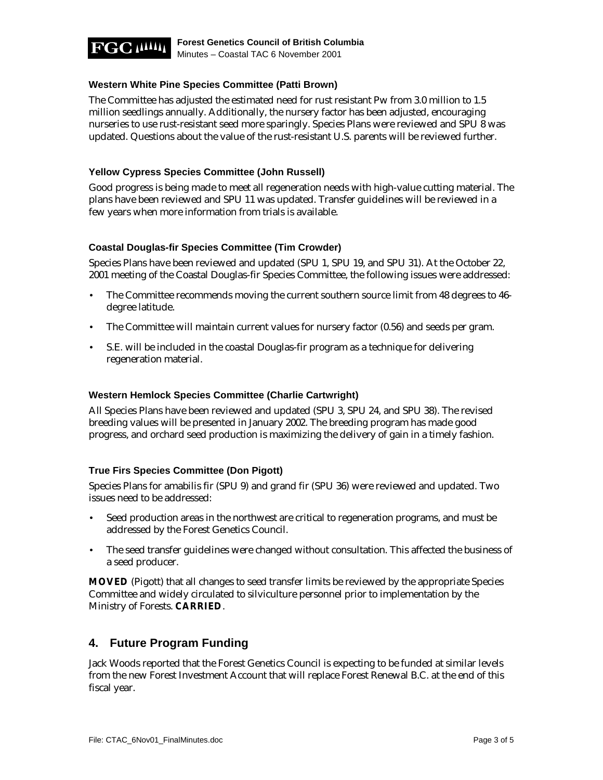

#### **Western White Pine Species Committee (Patti Brown)**

The Committee has adjusted the estimated need for rust resistant Pw from 3.0 million to 1.5 million seedlings annually. Additionally, the nursery factor has been adjusted, encouraging nurseries to use rust-resistant seed more sparingly. Species Plans were reviewed and SPU 8 was updated. Questions about the value of the rust-resistant U.S. parents will be reviewed further.

#### **Yellow Cypress Species Committee (John Russell)**

Good progress is being made to meet all regeneration needs with high-value cutting material. The plans have been reviewed and SPU 11 was updated. Transfer guidelines will be reviewed in a few years when more information from trials is available.

#### **Coastal Douglas-fir Species Committee (Tim Crowder)**

Species Plans have been reviewed and updated (SPU 1, SPU 19, and SPU 31). At the October 22, 2001 meeting of the Coastal Douglas-fir Species Committee, the following issues were addressed:

- The Committee recommends moving the current southern source limit from 48 degrees to 46degree latitude.
- The Committee will maintain current values for nursery factor (0.56) and seeds per gram.
- S.E. will be included in the coastal Douglas-fir program as a technique for delivering regeneration material.

#### **Western Hemlock Species Committee (Charlie Cartwright)**

All Species Plans have been reviewed and updated (SPU 3, SPU 24, and SPU 38). The revised breeding values will be presented in January 2002. The breeding program has made good progress, and orchard seed production is maximizing the delivery of gain in a timely fashion.

#### **True Firs Species Committee (Don Pigott)**

Species Plans for amabilis fir (SPU 9) and grand fir (SPU 36) were reviewed and updated. Two issues need to be addressed:

- Seed production areas in the northwest are critical to regeneration programs, and must be addressed by the Forest Genetics Council.
- The seed transfer guidelines were changed without consultation. This affected the business of a seed producer.

**MOVED** (Pigott) that all changes to seed transfer limits be reviewed by the appropriate Species Committee and widely circulated to silviculture personnel prior to implementation by the Ministry of Forests. **CARRIED**.

### **4. Future Program Funding**

Jack Woods reported that the Forest Genetics Council is expecting to be funded at similar levels from the new Forest Investment Account that will replace Forest Renewal B.C. at the end of this fiscal year.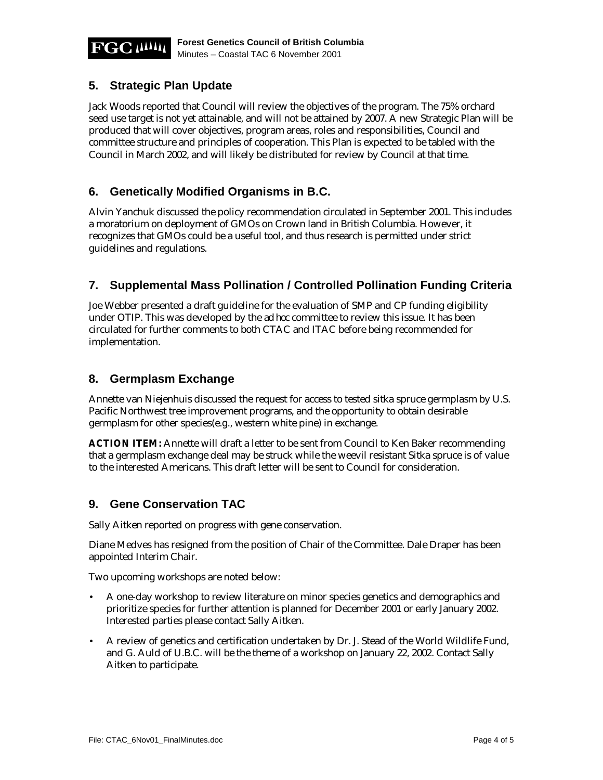

# **5. Strategic Plan Update**

Jack Woods reported that Council will review the objectives of the program. The 75% orchard seed use target is not yet attainable, and will not be attained by 2007. A new Strategic Plan will be produced that will cover objectives, program areas, roles and responsibilities, Council and committee structure and principles of cooperation. This Plan is expected to be tabled with the Council in March 2002, and will likely be distributed for review by Council at that time.

# **6. Genetically Modified Organisms in B.C.**

Alvin Yanchuk discussed the policy recommendation circulated in September 2001. This includes a moratorium on deployment of GMOs on Crown land in British Columbia. However, it recognizes that GMOs could be a useful tool, and thus research is permitted under strict guidelines and regulations.

# **7. Supplemental Mass Pollination / Controlled Pollination Funding Criteria**

Joe Webber presented a draft guideline for the evaluation of SMP and CP funding eligibility under OTIP. This was developed by the *ad hoc* committee to review this issue. It has been circulated for further comments to both CTAC and ITAC before being recommended for implementation.

### **8. Germplasm Exchange**

Annette van Niejenhuis discussed the request for access to tested sitka spruce germplasm by U.S. Pacific Northwest tree improvement programs, and the opportunity to obtain desirable germplasm for other species(e.g., western white pine) in exchange.

**ACTION ITEM:** Annette will draft a letter to be sent from Council to Ken Baker recommending that a germplasm exchange deal may be struck while the weevil resistant Sitka spruce is of value to the interested Americans. This draft letter will be sent to Council for consideration.

### **9. Gene Conservation TAC**

Sally Aitken reported on progress with gene conservation.

Diane Medves has resigned from the position of Chair of the Committee. Dale Draper has been appointed Interim Chair.

Two upcoming workshops are noted below:

- A one-day workshop to review literature on minor species genetics and demographics and prioritize species for further attention is planned for December 2001 or early January 2002. Interested parties please contact Sally Aitken.
- A review of genetics and certification undertaken by Dr. J. Stead of the World Wildlife Fund, and G. Auld of U.B.C. will be the theme of a workshop on January 22, 2002. Contact Sally Aitken to participate.